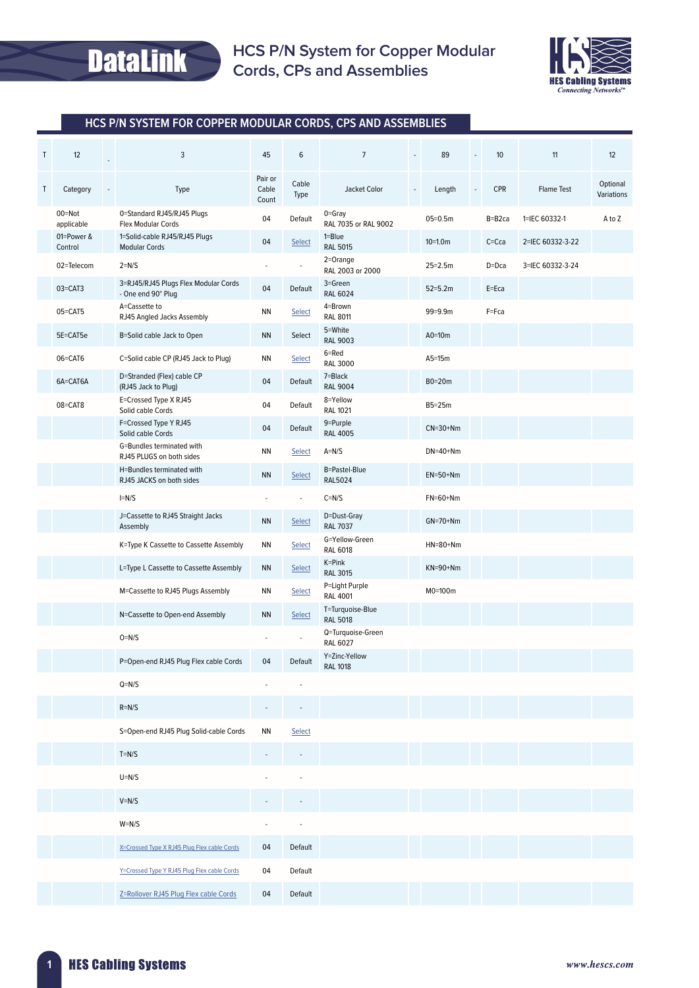**DataLink Cords, CPS and Assemblies Cords, CPs and Assemblies**



## **HCS P/N System for Copper Modular Cords, CPs and AssemblIes**

| T  | 12                    |                | 3                                                          | 45                        | 6             | $\overline{7}$                       | $\sim$ | 89          |    | 10         | 11               | 12                     |
|----|-----------------------|----------------|------------------------------------------------------------|---------------------------|---------------|--------------------------------------|--------|-------------|----|------------|------------------|------------------------|
| T. | Category              | $\blacksquare$ | Type                                                       | Pair or<br>Cable<br>Count | Cable<br>Type | Jacket Color                         |        | Length      | ÷, | <b>CPR</b> | Flame Test       | Optional<br>Variations |
|    | 00=Not<br>applicable  |                | 0=Standard RJ45/RJ45 Plugs<br>Flex Modular Cords           | 04                        | Default       | $0 =$ Gray<br>RAL 7035 or RAL 9002   |        | $05 = 0.5m$ |    | B=B2ca     | 1=IEC 60332-1    | A to Z                 |
|    | 01=Power &<br>Control |                | 1=Solid-cable RJ45/RJ45 Plugs<br><b>Modular Cords</b>      | 04                        | Select        | $1 = Blue$<br><b>RAL 5015</b>        |        | $10=1.0m$   |    | C=Cca      | 2=IEC 60332-3-22 |                        |
|    | 02=Telecom            |                | $2=N/S$                                                    |                           |               | 2=Orange<br>RAL 2003 or 2000         |        | $25 = 2.5m$ |    | $D = Dca$  | 3=IEC 60332-3-24 |                        |
|    | 03=CAT3               |                | 3=RJ45/RJ45 Plugs Flex Modular Cords<br>- One end 90° Plug | 04                        | Default       | 3=Green<br><b>RAL 6024</b>           |        | $52 = 5.2m$ |    | E=Eca      |                  |                        |
|    | 05=CAT5               |                | A=Cassette to<br>RJ45 Angled Jacks Assembly                | NN                        | Select        | 4=Brown<br><b>RAL 8011</b>           |        | 99=9.9m     |    | F=Fca      |                  |                        |
|    | 5E=CAT5e              |                | B=Solid cable Jack to Open                                 | NN                        | Select        | 5=White<br><b>RAL 9003</b>           |        | $A0=10m$    |    |            |                  |                        |
|    | 06=CAT6               |                | C=Solid cable CP (RJ45 Jack to Plug)                       | NN                        | Select        | 6=Red<br><b>RAL 3000</b>             |        | $A5=15m$    |    |            |                  |                        |
|    | 6A=CAT6A              |                | D=Stranded (Flex) cable CP<br>(RJ45 Jack to Plug)          | 04                        | Default       | 7=Black<br><b>RAL 9004</b>           |        | B0=20m      |    |            |                  |                        |
|    | 08=CAT8               |                | E=Crossed Type X RJ45<br>Solid cable Cords                 | 04                        | Default       | 8=Yellow<br><b>RAL 1021</b>          |        | B5=25m      |    |            |                  |                        |
|    |                       |                | F=Crossed Type Y RJ45<br>Solid cable Cords                 | 04                        | Default       | 9=Purple<br><b>RAL 4005</b>          |        | $CN=30+Nm$  |    |            |                  |                        |
|    |                       |                | G=Bundles terminated with<br>RJ45 PLUGS on both sides      | NN                        | Select        | $A=N/S$                              |        | $DN=40+Nm$  |    |            |                  |                        |
|    |                       |                | H=Bundles terminated with<br>RJ45 JACKS on both sides      | <b>NN</b>                 | <b>Select</b> | B=Pastel-Blue<br><b>RAL5024</b>      |        | $EN=50+Nm$  |    |            |                  |                        |
|    |                       |                | $I=N/S$                                                    |                           | ÷,            | $C=N/S$                              |        | $FN=60+Nm$  |    |            |                  |                        |
|    |                       |                | J=Cassette to RJ45 Straight Jacks<br>Assembly              | NN                        | <b>Select</b> | D=Dust-Gray<br><b>RAL 7037</b>       |        | $GN=70+Nm$  |    |            |                  |                        |
|    |                       |                | K=Type K Cassette to Cassette Assembly                     | ΝN                        | <b>Select</b> | G=Yellow-Green<br><b>RAL 6018</b>    |        | $HN=80+Nm$  |    |            |                  |                        |
|    |                       |                | L=Type L Cassette to Cassette Assembly                     | NN                        | Select        | K=Pink<br><b>RAL 3015</b>            |        | $KN=90+Nm$  |    |            |                  |                        |
|    |                       |                | M=Cassette to RJ45 Plugs Assembly                          | NN                        | Select        | P=Light Purple<br><b>RAL 4001</b>    |        | M0=100m     |    |            |                  |                        |
|    |                       |                | N=Cassette to Open-end Assembly                            | <b>NN</b>                 | <b>Select</b> | T=Turquoise-Blue<br><b>RAL 5018</b>  |        |             |    |            |                  |                        |
|    |                       |                | $O=N/S$                                                    |                           |               | Q=Turquoise-Green<br><b>RAL 6027</b> |        |             |    |            |                  |                        |
|    |                       |                | P=Open-end RJ45 Plug Flex cable Cords                      |                           | Default       | Y=Zinc-Yellow<br><b>RAL 1018</b>     |        |             |    |            |                  |                        |
|    |                       |                | $Q=N/S$                                                    |                           |               |                                      |        |             |    |            |                  |                        |
|    |                       |                | $R = N/S$                                                  |                           |               |                                      |        |             |    |            |                  |                        |
|    |                       |                | S=Open-end RJ45 Plug Solid-cable Cords                     | ΝN                        | Select        |                                      |        |             |    |            |                  |                        |
|    |                       |                | $T=N/S$                                                    |                           |               |                                      |        |             |    |            |                  |                        |
|    |                       |                | $U=N/S$                                                    |                           |               |                                      |        |             |    |            |                  |                        |
|    |                       |                | $V=N/S$                                                    |                           |               |                                      |        |             |    |            |                  |                        |
|    |                       |                | $W=N/S$                                                    |                           |               |                                      |        |             |    |            |                  |                        |
|    |                       |                | X=Crossed Type X RJ45 Plug Flex cable Cords                | 04                        | Default       |                                      |        |             |    |            |                  |                        |
|    |                       |                | Y=Crossed Type Y RJ45 Plug Flex cable Cords                | 04                        | Default       |                                      |        |             |    |            |                  |                        |
|    |                       |                | Z=Rollover RJ45 Plug Flex cable Cords                      | 04                        | Default       |                                      |        |             |    |            |                  |                        |